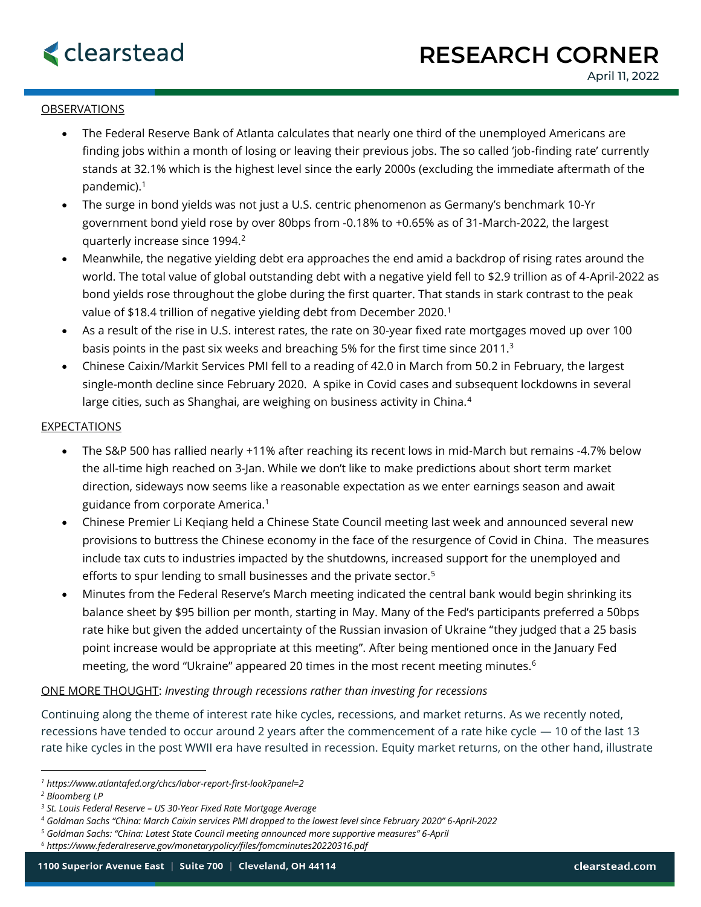

## **OBSERVATIONS**

- The Federal Reserve Bank of Atlanta calculates that nearly one third of the unemployed Americans are finding jobs within a month of losing or leaving their previous jobs. The so called 'job-finding rate' currently stands at 32.1% which is the highest level since the early 2000s (excluding the immediate aftermath of the pandemic).<sup>1</sup>
- The surge in bond yields was not just a U.S. centric phenomenon as Germany's benchmark 10-Yr government bond yield rose by over 80bps from -0.18% to +0.65% as of 31-March-2022, the largest quarterly increase since 1994.<sup>2</sup>
- Meanwhile, the negative yielding debt era approaches the end amid a backdrop of rising rates around the world. The total value of global outstanding debt with a negative yield fell to \$2.9 trillion as of 4-April-2022 as bond yields rose throughout the globe during the first quarter. That stands in stark contrast to the peak value of \$18.4 trillion of negative yielding debt from December 2020.<sup>1</sup>
- As a result of the rise in U.S. interest rates, the rate on 30-year fixed rate mortgages moved up over 100 basis points in the past six weeks and breaching 5% for the first time since 2011.<sup>3</sup>
- Chinese Caixin/Markit Services PMI fell to a reading of 42.0 in March from 50.2 in February, the largest single-month decline since February 2020. A spike in Covid cases and subsequent lockdowns in several large cities, such as Shanghai, are weighing on business activity in China.<sup>4</sup>

## **EXPECTATIONS**

- The S&P 500 has rallied nearly +11% after reaching its recent lows in mid-March but remains -4.7% below the all-time high reached on 3-Jan. While we don't like to make predictions about short term market direction, sideways now seems like a reasonable expectation as we enter earnings season and await guidance from corporate America.<sup>1</sup>
- Chinese Premier Li Keqiang held a Chinese State Council meeting last week and announced several new provisions to buttress the Chinese economy in the face of the resurgence of Covid in China. The measures include tax cuts to industries impacted by the shutdowns, increased support for the unemployed and efforts to spur lending to small businesses and the private sector.<sup>5</sup>
- Minutes from the Federal Reserve's March meeting indicated the central bank would begin shrinking its balance sheet by \$95 billion per month, starting in May. Many of the Fed's participants preferred a 50bps rate hike but given the added uncertainty of the Russian invasion of Ukraine "they judged that a 25 basis point increase would be appropriate at this meeting". After being mentioned once in the January Fed meeting, the word "Ukraine" appeared 20 times in the most recent meeting minutes.<sup>6</sup>

## ONE MORE THOUGHT: *Investing through recessions rather than investing for recessions*

Continuing along the theme of interest rate hike cycles, recessions, and market returns. As we recently noted, recessions have tended to occur around 2 years after the commencement of a rate hike cycle — 10 of the last 13 rate hike cycles in the post WWII era have resulted in recession. Equity market returns, on the other hand, illustrate

*<sup>1</sup> https://www.atlantafed.org/chcs/labor-report-first-look?panel=2*

*<sup>2</sup> Bloomberg LP*

*<sup>3</sup> St. Louis Federal Reserve – US 30-Year Fixed Rate Mortgage Average*

*<sup>4</sup> Goldman Sachs "China: March Caixin services PMI dropped to the lowest level since February 2020" 6-April-2022*

*<sup>5</sup> Goldman Sachs: "China: Latest State Council meeting announced more supportive measures" 6-April*

*<sup>6</sup> https://www.federalreserve.gov/monetarypolicy/files/fomcminutes20220316.pdf*